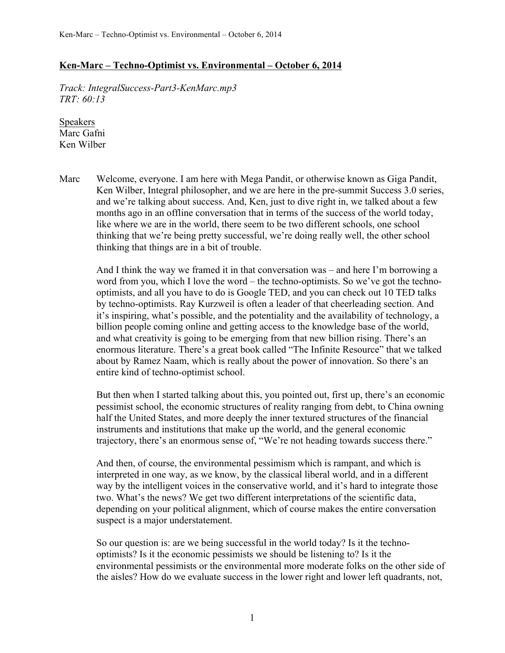## **Ken-Marc – Techno-Optimist vs. Environmental – October 6, 2014**

*Track: IntegralSuccess-Part3-KenMarc.mp3 TRT: 60:13*

Speakers Marc Gafni Ken Wilber

Marc Welcome, everyone. I am here with Mega Pandit, or otherwise known as Giga Pandit, Ken Wilber, Integral philosopher, and we are here in the pre-summit Success 3.0 series, and we're talking about success. And, Ken, just to dive right in, we talked about a few months ago in an offline conversation that in terms of the success of the world today, like where we are in the world, there seem to be two different schools, one school thinking that we're being pretty successful, we're doing really well, the other school thinking that things are in a bit of trouble.

And I think the way we framed it in that conversation was – and here I'm borrowing a word from you, which I love the word – the techno-optimists. So we've got the technooptimists, and all you have to do is Google TED, and you can check out 10 TED talks by techno-optimists. Ray Kurzweil is often a leader of that cheerleading section. And it's inspiring, what's possible, and the potentiality and the availability of technology, a billion people coming online and getting access to the knowledge base of the world, and what creativity is going to be emerging from that new billion rising. There's an enormous literature. There's a great book called "The Infinite Resource" that we talked about by Ramez Naam, which is really about the power of innovation. So there's an entire kind of techno-optimist school.

But then when I started talking about this, you pointed out, first up, there's an economic pessimist school, the economic structures of reality ranging from debt, to China owning half the United States, and more deeply the inner textured structures of the financial instruments and institutions that make up the world, and the general economic trajectory, there's an enormous sense of, "We're not heading towards success there."

And then, of course, the environmental pessimism which is rampant, and which is interpreted in one way, as we know, by the classical liberal world, and in a different way by the intelligent voices in the conservative world, and it's hard to integrate those two. What's the news? We get two different interpretations of the scientific data, depending on your political alignment, which of course makes the entire conversation suspect is a major understatement.

So our question is: are we being successful in the world today? Is it the technooptimists? Is it the economic pessimists we should be listening to? Is it the environmental pessimists or the environmental more moderate folks on the other side of the aisles? How do we evaluate success in the lower right and lower left quadrants, not,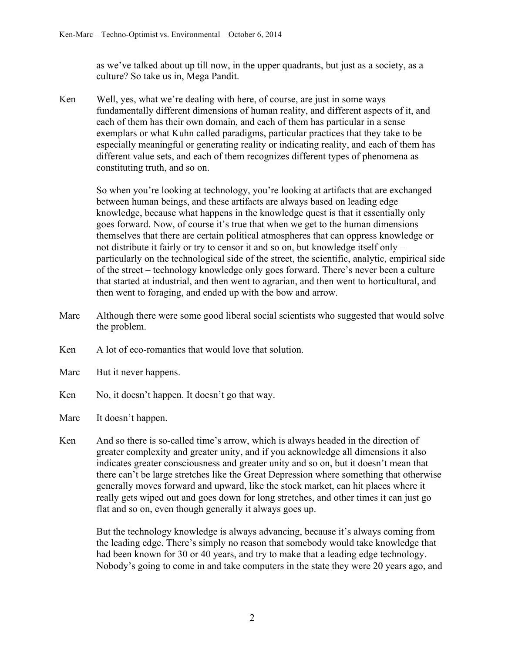as we've talked about up till now, in the upper quadrants, but just as a society, as a culture? So take us in, Mega Pandit.

Ken Well, yes, what we're dealing with here, of course, are just in some ways fundamentally different dimensions of human reality, and different aspects of it, and each of them has their own domain, and each of them has particular in a sense exemplars or what Kuhn called paradigms, particular practices that they take to be especially meaningful or generating reality or indicating reality, and each of them has different value sets, and each of them recognizes different types of phenomena as constituting truth, and so on.

So when you're looking at technology, you're looking at artifacts that are exchanged between human beings, and these artifacts are always based on leading edge knowledge, because what happens in the knowledge quest is that it essentially only goes forward. Now, of course it's true that when we get to the human dimensions themselves that there are certain political atmospheres that can oppress knowledge or not distribute it fairly or try to censor it and so on, but knowledge itself only – particularly on the technological side of the street, the scientific, analytic, empirical side of the street – technology knowledge only goes forward. There's never been a culture that started at industrial, and then went to agrarian, and then went to horticultural, and then went to foraging, and ended up with the bow and arrow.

- Marc Although there were some good liberal social scientists who suggested that would solve the problem.
- Ken A lot of eco-romantics that would love that solution
- Marc But it never happens.
- Ken No, it doesn't happen. It doesn't go that way.
- Marc It doesn't happen.
- Ken And so there is so-called time's arrow, which is always headed in the direction of greater complexity and greater unity, and if you acknowledge all dimensions it also indicates greater consciousness and greater unity and so on, but it doesn't mean that there can't be large stretches like the Great Depression where something that otherwise generally moves forward and upward, like the stock market, can hit places where it really gets wiped out and goes down for long stretches, and other times it can just go flat and so on, even though generally it always goes up.

But the technology knowledge is always advancing, because it's always coming from the leading edge. There's simply no reason that somebody would take knowledge that had been known for 30 or 40 years, and try to make that a leading edge technology. Nobody's going to come in and take computers in the state they were 20 years ago, and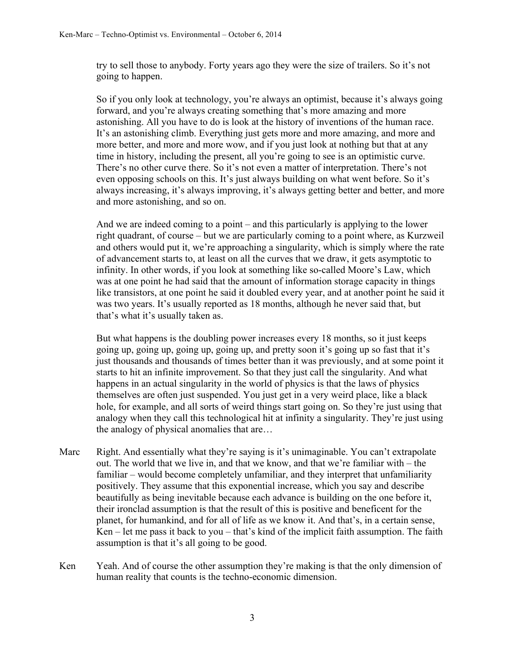try to sell those to anybody. Forty years ago they were the size of trailers. So it's not going to happen.

So if you only look at technology, you're always an optimist, because it's always going forward, and you're always creating something that's more amazing and more astonishing. All you have to do is look at the history of inventions of the human race. It's an astonishing climb. Everything just gets more and more amazing, and more and more better, and more and more wow, and if you just look at nothing but that at any time in history, including the present, all you're going to see is an optimistic curve. There's no other curve there. So it's not even a matter of interpretation. There's not even opposing schools on this. It's just always building on what went before. So it's always increasing, it's always improving, it's always getting better and better, and more and more astonishing, and so on.

And we are indeed coming to a point – and this particularly is applying to the lower right quadrant, of course – but we are particularly coming to a point where, as Kurzweil and others would put it, we're approaching a singularity, which is simply where the rate of advancement starts to, at least on all the curves that we draw, it gets asymptotic to infinity. In other words, if you look at something like so-called Moore's Law, which was at one point he had said that the amount of information storage capacity in things like transistors, at one point he said it doubled every year, and at another point he said it was two years. It's usually reported as 18 months, although he never said that, but that's what it's usually taken as.

But what happens is the doubling power increases every 18 months, so it just keeps going up, going up, going up, going up, and pretty soon it's going up so fast that it's just thousands and thousands of times better than it was previously, and at some point it starts to hit an infinite improvement. So that they just call the singularity. And what happens in an actual singularity in the world of physics is that the laws of physics themselves are often just suspended. You just get in a very weird place, like a black hole, for example, and all sorts of weird things start going on. So they're just using that analogy when they call this technological hit at infinity a singularity. They're just using the analogy of physical anomalies that are…

- Marc Right. And essentially what they're saying is it's unimaginable. You can't extrapolate out. The world that we live in, and that we know, and that we're familiar with – the familiar – would become completely unfamiliar, and they interpret that unfamiliarity positively. They assume that this exponential increase, which you say and describe beautifully as being inevitable because each advance is building on the one before it, their ironclad assumption is that the result of this is positive and beneficent for the planet, for humankind, and for all of life as we know it. And that's, in a certain sense, Ken – let me pass it back to you – that's kind of the implicit faith assumption. The faith assumption is that it's all going to be good.
- Ken Yeah. And of course the other assumption they're making is that the only dimension of human reality that counts is the techno-economic dimension.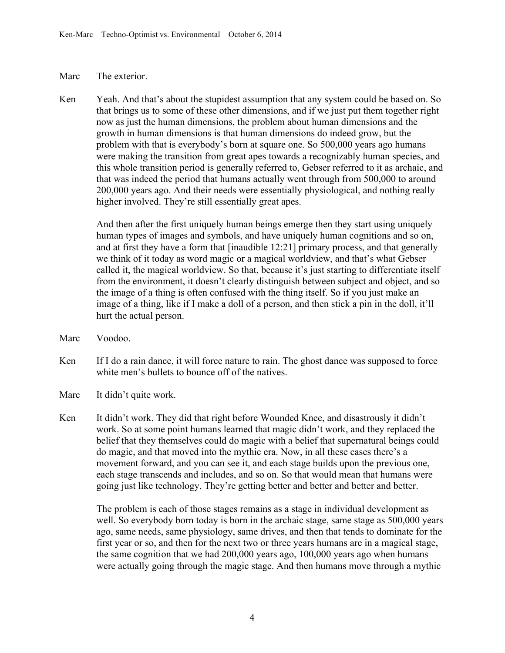## Marc The exterior.

Ken Yeah. And that's about the stupidest assumption that any system could be based on. So that brings us to some of these other dimensions, and if we just put them together right now as just the human dimensions, the problem about human dimensions and the growth in human dimensions is that human dimensions do indeed grow, but the problem with that is everybody's born at square one. So 500,000 years ago humans were making the transition from great apes towards a recognizably human species, and this whole transition period is generally referred to, Gebser referred to it as archaic, and that was indeed the period that humans actually went through from 500,000 to around 200,000 years ago. And their needs were essentially physiological, and nothing really higher involved. They're still essentially great apes.

And then after the first uniquely human beings emerge then they start using uniquely human types of images and symbols, and have uniquely human cognitions and so on, and at first they have a form that [inaudible 12:21] primary process, and that generally we think of it today as word magic or a magical worldview, and that's what Gebser called it, the magical worldview. So that, because it's just starting to differentiate itself from the environment, it doesn't clearly distinguish between subject and object, and so the image of a thing is often confused with the thing itself. So if you just make an image of a thing, like if I make a doll of a person, and then stick a pin in the doll, it'll hurt the actual person.

- Marc Voodoo.
- Ken If I do a rain dance, it will force nature to rain. The ghost dance was supposed to force white men's bullets to bounce off of the natives.
- Marc It didn't quite work.
- Ken It didn't work. They did that right before Wounded Knee, and disastrously it didn't work. So at some point humans learned that magic didn't work, and they replaced the belief that they themselves could do magic with a belief that supernatural beings could do magic, and that moved into the mythic era. Now, in all these cases there's a movement forward, and you can see it, and each stage builds upon the previous one, each stage transcends and includes, and so on. So that would mean that humans were going just like technology. They're getting better and better and better and better.

The problem is each of those stages remains as a stage in individual development as well. So everybody born today is born in the archaic stage, same stage as 500,000 years ago, same needs, same physiology, same drives, and then that tends to dominate for the first year or so, and then for the next two or three years humans are in a magical stage, the same cognition that we had 200,000 years ago, 100,000 years ago when humans were actually going through the magic stage. And then humans move through a mythic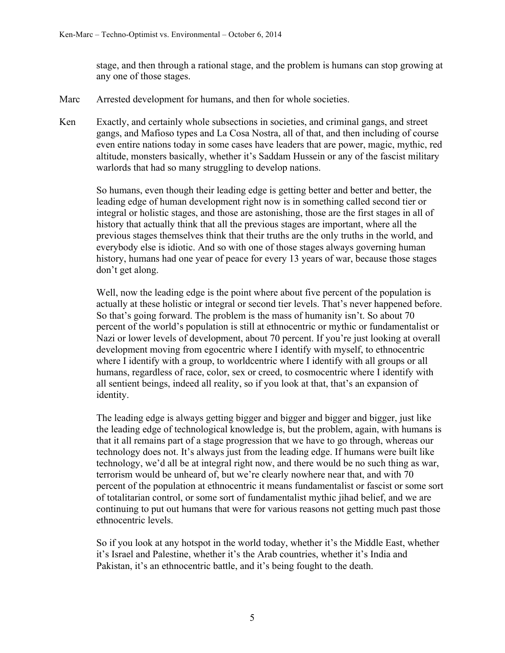stage, and then through a rational stage, and the problem is humans can stop growing at any one of those stages.

- Marc Arrested development for humans, and then for whole societies.
- Ken Exactly, and certainly whole subsections in societies, and criminal gangs, and street gangs, and Mafioso types and La Cosa Nostra, all of that, and then including of course even entire nations today in some cases have leaders that are power, magic, mythic, red altitude, monsters basically, whether it's Saddam Hussein or any of the fascist military warlords that had so many struggling to develop nations.

So humans, even though their leading edge is getting better and better and better, the leading edge of human development right now is in something called second tier or integral or holistic stages, and those are astonishing, those are the first stages in all of history that actually think that all the previous stages are important, where all the previous stages themselves think that their truths are the only truths in the world, and everybody else is idiotic. And so with one of those stages always governing human history, humans had one year of peace for every 13 years of war, because those stages don't get along.

Well, now the leading edge is the point where about five percent of the population is actually at these holistic or integral or second tier levels. That's never happened before. So that's going forward. The problem is the mass of humanity isn't. So about 70 percent of the world's population is still at ethnocentric or mythic or fundamentalist or Nazi or lower levels of development, about 70 percent. If you're just looking at overall development moving from egocentric where I identify with myself, to ethnocentric where I identify with a group, to worldcentric where I identify with all groups or all humans, regardless of race, color, sex or creed, to cosmocentric where I identify with all sentient beings, indeed all reality, so if you look at that, that's an expansion of identity.

The leading edge is always getting bigger and bigger and bigger and bigger, just like the leading edge of technological knowledge is, but the problem, again, with humans is that it all remains part of a stage progression that we have to go through, whereas our technology does not. It's always just from the leading edge. If humans were built like technology, we'd all be at integral right now, and there would be no such thing as war, terrorism would be unheard of, but we're clearly nowhere near that, and with 70 percent of the population at ethnocentric it means fundamentalist or fascist or some sort of totalitarian control, or some sort of fundamentalist mythic jihad belief, and we are continuing to put out humans that were for various reasons not getting much past those ethnocentric levels.

So if you look at any hotspot in the world today, whether it's the Middle East, whether it's Israel and Palestine, whether it's the Arab countries, whether it's India and Pakistan, it's an ethnocentric battle, and it's being fought to the death.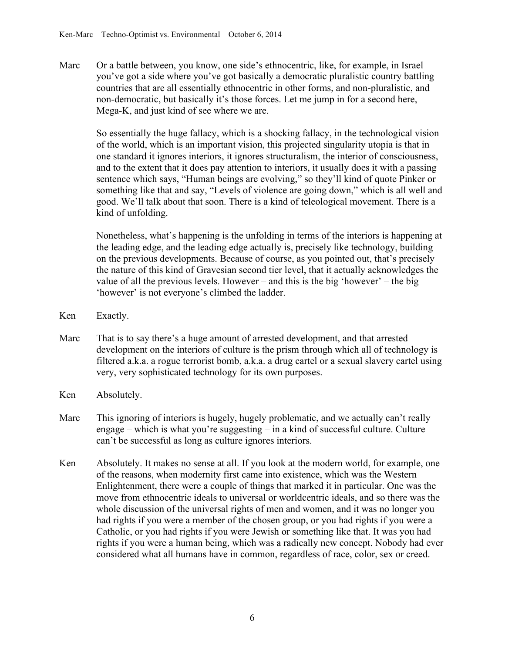Marc Or a battle between, you know, one side's ethnocentric, like, for example, in Israel you've got a side where you've got basically a democratic pluralistic country battling countries that are all essentially ethnocentric in other forms, and non-pluralistic, and non-democratic, but basically it's those forces. Let me jump in for a second here, Mega-K, and just kind of see where we are.

So essentially the huge fallacy, which is a shocking fallacy, in the technological vision of the world, which is an important vision, this projected singularity utopia is that in one standard it ignores interiors, it ignores structuralism, the interior of consciousness, and to the extent that it does pay attention to interiors, it usually does it with a passing sentence which says, "Human beings are evolving," so they'll kind of quote Pinker or something like that and say, "Levels of violence are going down," which is all well and good. We'll talk about that soon. There is a kind of teleological movement. There is a kind of unfolding.

Nonetheless, what's happening is the unfolding in terms of the interiors is happening at the leading edge, and the leading edge actually is, precisely like technology, building on the previous developments. Because of course, as you pointed out, that's precisely the nature of this kind of Gravesian second tier level, that it actually acknowledges the value of all the previous levels. However – and this is the big 'however' – the big 'however' is not everyone's climbed the ladder.

- Ken Exactly.
- Marc That is to say there's a huge amount of arrested development, and that arrested development on the interiors of culture is the prism through which all of technology is filtered a.k.a. a rogue terrorist bomb, a.k.a. a drug cartel or a sexual slavery cartel using very, very sophisticated technology for its own purposes.
- Ken Absolutely.
- Marc This ignoring of interiors is hugely, hugely problematic, and we actually can't really engage – which is what you're suggesting – in a kind of successful culture. Culture can't be successful as long as culture ignores interiors.
- Ken Absolutely. It makes no sense at all. If you look at the modern world, for example, one of the reasons, when modernity first came into existence, which was the Western Enlightenment, there were a couple of things that marked it in particular. One was the move from ethnocentric ideals to universal or worldcentric ideals, and so there was the whole discussion of the universal rights of men and women, and it was no longer you had rights if you were a member of the chosen group, or you had rights if you were a Catholic, or you had rights if you were Jewish or something like that. It was you had rights if you were a human being, which was a radically new concept. Nobody had ever considered what all humans have in common, regardless of race, color, sex or creed.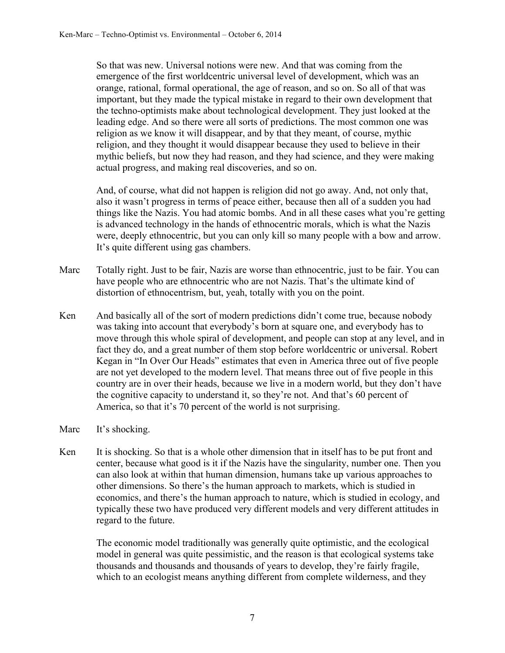So that was new. Universal notions were new. And that was coming from the emergence of the first worldcentric universal level of development, which was an orange, rational, formal operational, the age of reason, and so on. So all of that was important, but they made the typical mistake in regard to their own development that the techno-optimists make about technological development. They just looked at the leading edge. And so there were all sorts of predictions. The most common one was religion as we know it will disappear, and by that they meant, of course, mythic religion, and they thought it would disappear because they used to believe in their mythic beliefs, but now they had reason, and they had science, and they were making actual progress, and making real discoveries, and so on.

And, of course, what did not happen is religion did not go away. And, not only that, also it wasn't progress in terms of peace either, because then all of a sudden you had things like the Nazis. You had atomic bombs. And in all these cases what you're getting is advanced technology in the hands of ethnocentric morals, which is what the Nazis were, deeply ethnocentric, but you can only kill so many people with a bow and arrow. It's quite different using gas chambers.

- Marc Totally right. Just to be fair, Nazis are worse than ethnocentric, just to be fair. You can have people who are ethnocentric who are not Nazis. That's the ultimate kind of distortion of ethnocentrism, but, yeah, totally with you on the point.
- Ken And basically all of the sort of modern predictions didn't come true, because nobody was taking into account that everybody's born at square one, and everybody has to move through this whole spiral of development, and people can stop at any level, and in fact they do, and a great number of them stop before worldcentric or universal. Robert Kegan in "In Over Our Heads" estimates that even in America three out of five people are not yet developed to the modern level. That means three out of five people in this country are in over their heads, because we live in a modern world, but they don't have the cognitive capacity to understand it, so they're not. And that's 60 percent of America, so that it's 70 percent of the world is not surprising.
- Marc It's shocking.
- Ken It is shocking. So that is a whole other dimension that in itself has to be put front and center, because what good is it if the Nazis have the singularity, number one. Then you can also look at within that human dimension, humans take up various approaches to other dimensions. So there's the human approach to markets, which is studied in economics, and there's the human approach to nature, which is studied in ecology, and typically these two have produced very different models and very different attitudes in regard to the future.

The economic model traditionally was generally quite optimistic, and the ecological model in general was quite pessimistic, and the reason is that ecological systems take thousands and thousands and thousands of years to develop, they're fairly fragile, which to an ecologist means anything different from complete wilderness, and they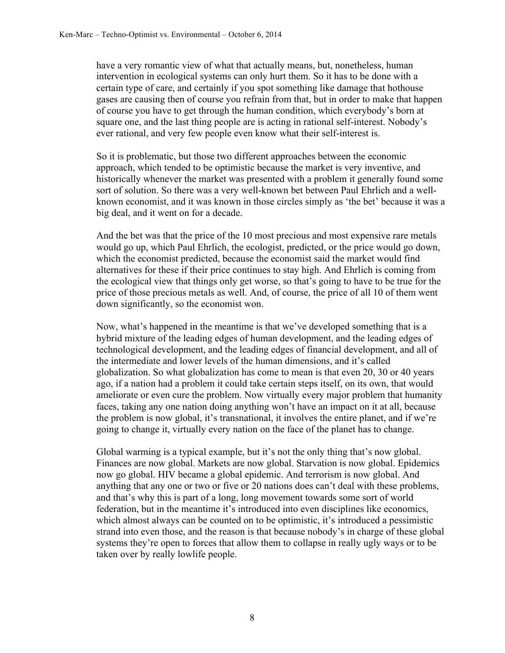have a very romantic view of what that actually means, but, nonetheless, human intervention in ecological systems can only hurt them. So it has to be done with a certain type of care, and certainly if you spot something like damage that hothouse gases are causing then of course you refrain from that, but in order to make that happen of course you have to get through the human condition, which everybody's born at square one, and the last thing people are is acting in rational self-interest. Nobody's ever rational, and very few people even know what their self-interest is.

So it is problematic, but those two different approaches between the economic approach, which tended to be optimistic because the market is very inventive, and historically whenever the market was presented with a problem it generally found some sort of solution. So there was a very well-known bet between Paul Ehrlich and a wellknown economist, and it was known in those circles simply as 'the bet' because it was a big deal, and it went on for a decade.

And the bet was that the price of the 10 most precious and most expensive rare metals would go up, which Paul Ehrlich, the ecologist, predicted, or the price would go down, which the economist predicted, because the economist said the market would find alternatives for these if their price continues to stay high. And Ehrlich is coming from the ecological view that things only get worse, so that's going to have to be true for the price of those precious metals as well. And, of course, the price of all 10 of them went down significantly, so the economist won.

Now, what's happened in the meantime is that we've developed something that is a hybrid mixture of the leading edges of human development, and the leading edges of technological development, and the leading edges of financial development, and all of the intermediate and lower levels of the human dimensions, and it's called globalization. So what globalization has come to mean is that even 20, 30 or 40 years ago, if a nation had a problem it could take certain steps itself, on its own, that would ameliorate or even cure the problem. Now virtually every major problem that humanity faces, taking any one nation doing anything won't have an impact on it at all, because the problem is now global, it's transnational, it involves the entire planet, and if we're going to change it, virtually every nation on the face of the planet has to change.

Global warming is a typical example, but it's not the only thing that's now global. Finances are now global. Markets are now global. Starvation is now global. Epidemics now go global. HIV became a global epidemic. And terrorism is now global. And anything that any one or two or five or 20 nations does can't deal with these problems, and that's why this is part of a long, long movement towards some sort of world federation, but in the meantime it's introduced into even disciplines like economics, which almost always can be counted on to be optimistic, it's introduced a pessimistic strand into even those, and the reason is that because nobody's in charge of these global systems they're open to forces that allow them to collapse in really ugly ways or to be taken over by really lowlife people.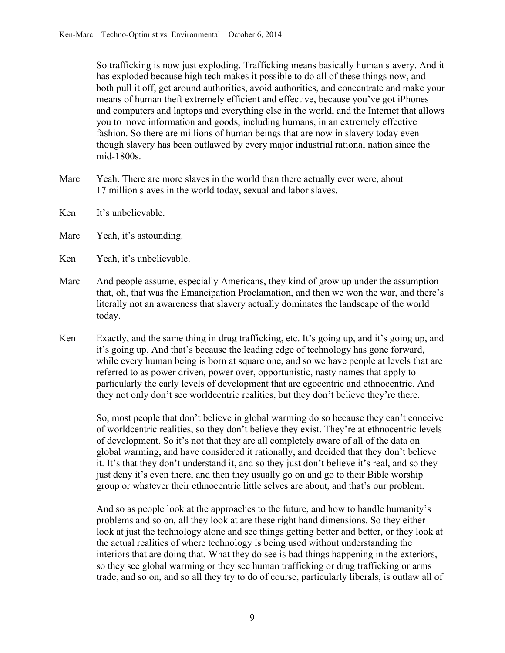So trafficking is now just exploding. Trafficking means basically human slavery. And it has exploded because high tech makes it possible to do all of these things now, and both pull it off, get around authorities, avoid authorities, and concentrate and make your means of human theft extremely efficient and effective, because you've got iPhones and computers and laptops and everything else in the world, and the Internet that allows you to move information and goods, including humans, in an extremely effective fashion. So there are millions of human beings that are now in slavery today even though slavery has been outlawed by every major industrial rational nation since the mid-1800s.

- Marc Yeah. There are more slaves in the world than there actually ever were, about 17 million slaves in the world today, sexual and labor slaves.
- Ken It's unbelievable.
- Marc Yeah, it's astounding.
- Ken Yeah, it's unbelievable.
- Marc And people assume, especially Americans, they kind of grow up under the assumption that, oh, that was the Emancipation Proclamation, and then we won the war, and there's literally not an awareness that slavery actually dominates the landscape of the world today.
- Ken Exactly, and the same thing in drug trafficking, etc. It's going up, and it's going up, and it's going up. And that's because the leading edge of technology has gone forward, while every human being is born at square one, and so we have people at levels that are referred to as power driven, power over, opportunistic, nasty names that apply to particularly the early levels of development that are egocentric and ethnocentric. And they not only don't see worldcentric realities, but they don't believe they're there.

So, most people that don't believe in global warming do so because they can't conceive of worldcentric realities, so they don't believe they exist. They're at ethnocentric levels of development. So it's not that they are all completely aware of all of the data on global warming, and have considered it rationally, and decided that they don't believe it. It's that they don't understand it, and so they just don't believe it's real, and so they just deny it's even there, and then they usually go on and go to their Bible worship group or whatever their ethnocentric little selves are about, and that's our problem.

And so as people look at the approaches to the future, and how to handle humanity's problems and so on, all they look at are these right hand dimensions. So they either look at just the technology alone and see things getting better and better, or they look at the actual realities of where technology is being used without understanding the interiors that are doing that. What they do see is bad things happening in the exteriors, so they see global warming or they see human trafficking or drug trafficking or arms trade, and so on, and so all they try to do of course, particularly liberals, is outlaw all of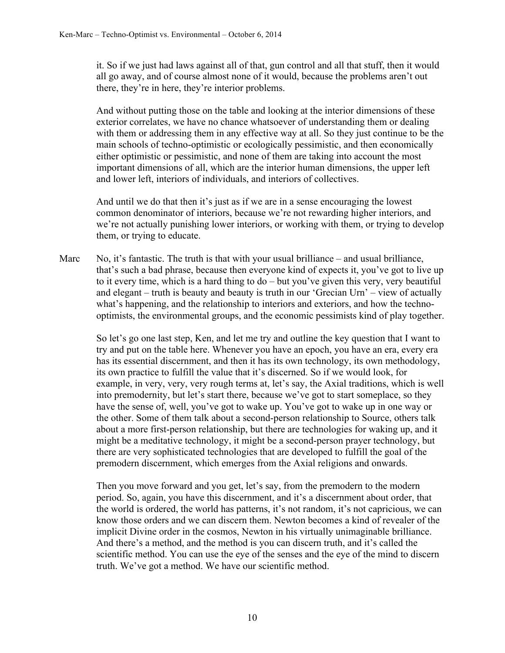it. So if we just had laws against all of that, gun control and all that stuff, then it would all go away, and of course almost none of it would, because the problems aren't out there, they're in here, they're interior problems.

And without putting those on the table and looking at the interior dimensions of these exterior correlates, we have no chance whatsoever of understanding them or dealing with them or addressing them in any effective way at all. So they just continue to be the main schools of techno-optimistic or ecologically pessimistic, and then economically either optimistic or pessimistic, and none of them are taking into account the most important dimensions of all, which are the interior human dimensions, the upper left and lower left, interiors of individuals, and interiors of collectives.

And until we do that then it's just as if we are in a sense encouraging the lowest common denominator of interiors, because we're not rewarding higher interiors, and we're not actually punishing lower interiors, or working with them, or trying to develop them, or trying to educate.

Marc No, it's fantastic. The truth is that with your usual brilliance – and usual brilliance, that's such a bad phrase, because then everyone kind of expects it, you've got to live up to it every time, which is a hard thing to do – but you've given this very, very beautiful and elegant – truth is beauty and beauty is truth in our 'Grecian Urn' – view of actually what's happening, and the relationship to interiors and exteriors, and how the technooptimists, the environmental groups, and the economic pessimists kind of play together.

So let's go one last step, Ken, and let me try and outline the key question that I want to try and put on the table here. Whenever you have an epoch, you have an era, every era has its essential discernment, and then it has its own technology, its own methodology, its own practice to fulfill the value that it's discerned. So if we would look, for example, in very, very, very rough terms at, let's say, the Axial traditions, which is well into premodernity, but let's start there, because we've got to start someplace, so they have the sense of, well, you've got to wake up. You've got to wake up in one way or the other. Some of them talk about a second-person relationship to Source, others talk about a more first-person relationship, but there are technologies for waking up, and it might be a meditative technology, it might be a second-person prayer technology, but there are very sophisticated technologies that are developed to fulfill the goal of the premodern discernment, which emerges from the Axial religions and onwards.

Then you move forward and you get, let's say, from the premodern to the modern period. So, again, you have this discernment, and it's a discernment about order, that the world is ordered, the world has patterns, it's not random, it's not capricious, we can know those orders and we can discern them. Newton becomes a kind of revealer of the implicit Divine order in the cosmos, Newton in his virtually unimaginable brilliance. And there's a method, and the method is you can discern truth, and it's called the scientific method. You can use the eye of the senses and the eye of the mind to discern truth. We've got a method. We have our scientific method.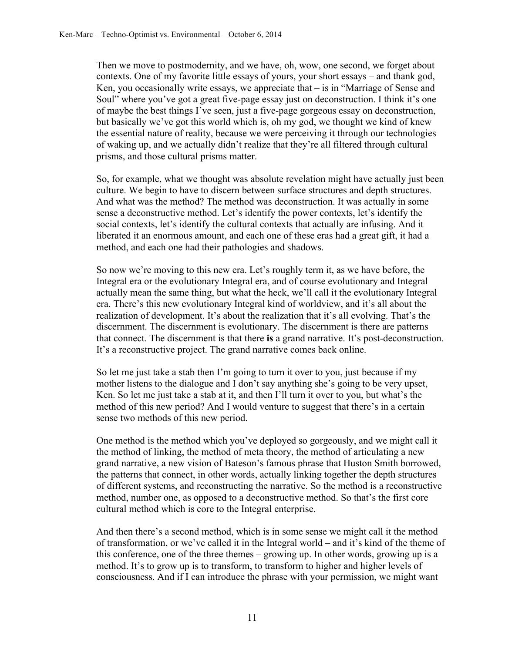Then we move to postmodernity, and we have, oh, wow, one second, we forget about contexts. One of my favorite little essays of yours, your short essays – and thank god, Ken, you occasionally write essays, we appreciate that – is in "Marriage of Sense and Soul" where you've got a great five-page essay just on deconstruction. I think it's one of maybe the best things I've seen, just a five-page gorgeous essay on deconstruction, but basically we've got this world which is, oh my god, we thought we kind of knew the essential nature of reality, because we were perceiving it through our technologies of waking up, and we actually didn't realize that they're all filtered through cultural prisms, and those cultural prisms matter.

So, for example, what we thought was absolute revelation might have actually just been culture. We begin to have to discern between surface structures and depth structures. And what was the method? The method was deconstruction. It was actually in some sense a deconstructive method. Let's identify the power contexts, let's identify the social contexts, let's identify the cultural contexts that actually are infusing. And it liberated it an enormous amount, and each one of these eras had a great gift, it had a method, and each one had their pathologies and shadows.

So now we're moving to this new era. Let's roughly term it, as we have before, the Integral era or the evolutionary Integral era, and of course evolutionary and Integral actually mean the same thing, but what the heck, we'll call it the evolutionary Integral era. There's this new evolutionary Integral kind of worldview, and it's all about the realization of development. It's about the realization that it's all evolving. That's the discernment. The discernment is evolutionary. The discernment is there are patterns that connect. The discernment is that there **is** a grand narrative. It's post-deconstruction. It's a reconstructive project. The grand narrative comes back online.

So let me just take a stab then I'm going to turn it over to you, just because if my mother listens to the dialogue and I don't say anything she's going to be very upset, Ken. So let me just take a stab at it, and then I'll turn it over to you, but what's the method of this new period? And I would venture to suggest that there's in a certain sense two methods of this new period.

One method is the method which you've deployed so gorgeously, and we might call it the method of linking, the method of meta theory, the method of articulating a new grand narrative, a new vision of Bateson's famous phrase that Huston Smith borrowed, the patterns that connect, in other words, actually linking together the depth structures of different systems, and reconstructing the narrative. So the method is a reconstructive method, number one, as opposed to a deconstructive method. So that's the first core cultural method which is core to the Integral enterprise.

And then there's a second method, which is in some sense we might call it the method of transformation, or we've called it in the Integral world – and it's kind of the theme of this conference, one of the three themes – growing up. In other words, growing up is a method. It's to grow up is to transform, to transform to higher and higher levels of consciousness. And if I can introduce the phrase with your permission, we might want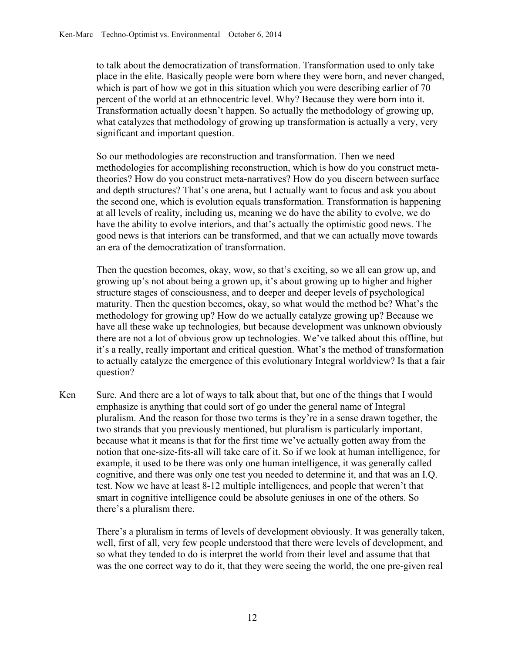to talk about the democratization of transformation. Transformation used to only take place in the elite. Basically people were born where they were born, and never changed, which is part of how we got in this situation which you were describing earlier of 70 percent of the world at an ethnocentric level. Why? Because they were born into it. Transformation actually doesn't happen. So actually the methodology of growing up, what catalyzes that methodology of growing up transformation is actually a very, very significant and important question.

So our methodologies are reconstruction and transformation. Then we need methodologies for accomplishing reconstruction, which is how do you construct metatheories? How do you construct meta-narratives? How do you discern between surface and depth structures? That's one arena, but I actually want to focus and ask you about the second one, which is evolution equals transformation. Transformation is happening at all levels of reality, including us, meaning we do have the ability to evolve, we do have the ability to evolve interiors, and that's actually the optimistic good news. The good news is that interiors can be transformed, and that we can actually move towards an era of the democratization of transformation.

Then the question becomes, okay, wow, so that's exciting, so we all can grow up, and growing up's not about being a grown up, it's about growing up to higher and higher structure stages of consciousness, and to deeper and deeper levels of psychological maturity. Then the question becomes, okay, so what would the method be? What's the methodology for growing up? How do we actually catalyze growing up? Because we have all these wake up technologies, but because development was unknown obviously there are not a lot of obvious grow up technologies. We've talked about this offline, but it's a really, really important and critical question. What's the method of transformation to actually catalyze the emergence of this evolutionary Integral worldview? Is that a fair question?

Ken Sure. And there are a lot of ways to talk about that, but one of the things that I would emphasize is anything that could sort of go under the general name of Integral pluralism. And the reason for those two terms is they're in a sense drawn together, the two strands that you previously mentioned, but pluralism is particularly important, because what it means is that for the first time we've actually gotten away from the notion that one-size-fits-all will take care of it. So if we look at human intelligence, for example, it used to be there was only one human intelligence, it was generally called cognitive, and there was only one test you needed to determine it, and that was an I.Q. test. Now we have at least 8-12 multiple intelligences, and people that weren't that smart in cognitive intelligence could be absolute geniuses in one of the others. So there's a pluralism there.

There's a pluralism in terms of levels of development obviously. It was generally taken, well, first of all, very few people understood that there were levels of development, and so what they tended to do is interpret the world from their level and assume that that was the one correct way to do it, that they were seeing the world, the one pre-given real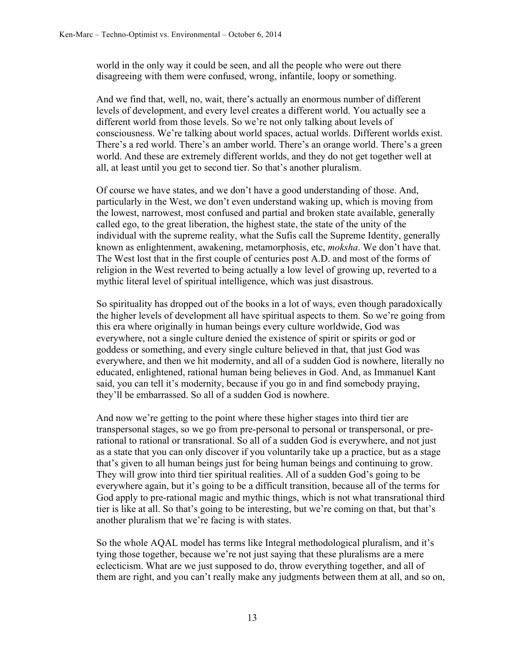world in the only way it could be seen, and all the people who were out there disagreeing with them were confused, wrong, infantile, loopy or something.

And we find that, well, no, wait, there's actually an enormous number of different levels of development, and every level creates a different world. You actually see a different world from those levels. So we're not only talking about levels of consciousness. We're talking about world spaces, actual worlds. Different worlds exist. There's a red world. There's an amber world. There's an orange world. There's a green world. And these are extremely different worlds, and they do not get together well at all, at least until you get to second tier. So that's another pluralism.

Of course we have states, and we don't have a good understanding of those. And, particularly in the West, we don't even understand waking up, which is moving from the lowest, narrowest, most confused and partial and broken state available, generally called ego, to the great liberation, the highest state, the state of the unity of the individual with the supreme reality, what the Sufis call the Supreme Identity, generally known as enlightenment, awakening, metamorphosis, etc, *moksha*. We don't have that. The West lost that in the first couple of centuries post A.D. and most of the forms of religion in the West reverted to being actually a low level of growing up, reverted to a mythic literal level of spiritual intelligence, which was just disastrous.

So spirituality has dropped out of the books in a lot of ways, even though paradoxically the higher levels of development all have spiritual aspects to them. So we're going from this era where originally in human beings every culture worldwide, God was everywhere, not a single culture denied the existence of spirit or spirits or god or goddess or something, and every single culture believed in that, that just God was everywhere, and then we hit modernity, and all of a sudden God is nowhere, literally no educated, enlightened, rational human being believes in God. And, as Immanuel Kant said, you can tell it's modernity, because if you go in and find somebody praying, they'll be embarrassed. So all of a sudden God is nowhere.

And now we're getting to the point where these higher stages into third tier are transpersonal stages, so we go from pre-personal to personal or transpersonal, or prerational to rational or transrational. So all of a sudden God is everywhere, and not just as a state that you can only discover if you voluntarily take up a practice, but as a stage that's given to all human beings just for being human beings and continuing to grow. They will grow into third tier spiritual realities. All of a sudden God's going to be everywhere again, but it's going to be a difficult transition, because all of the terms for God apply to pre-rational magic and mythic things, which is not what transrational third tier is like at all. So that's going to be interesting, but we're coming on that, but that's another pluralism that we're facing is with states.

So the whole AQAL model has terms like Integral methodological pluralism, and it's tying those together, because we're not just saying that these pluralisms are a mere eclecticism. What are we just supposed to do, throw everything together, and all of them are right, and you can't really make any judgments between them at all, and so on,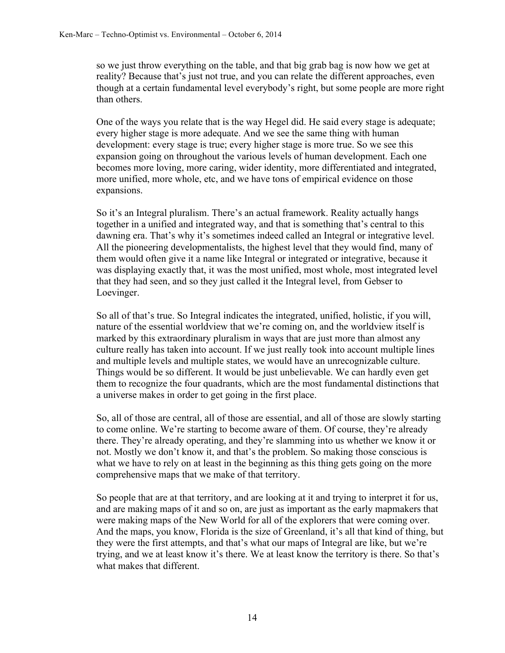so we just throw everything on the table, and that big grab bag is now how we get at reality? Because that's just not true, and you can relate the different approaches, even though at a certain fundamental level everybody's right, but some people are more right than others.

One of the ways you relate that is the way Hegel did. He said every stage is adequate; every higher stage is more adequate. And we see the same thing with human development: every stage is true; every higher stage is more true. So we see this expansion going on throughout the various levels of human development. Each one becomes more loving, more caring, wider identity, more differentiated and integrated, more unified, more whole, etc, and we have tons of empirical evidence on those expansions.

So it's an Integral pluralism. There's an actual framework. Reality actually hangs together in a unified and integrated way, and that is something that's central to this dawning era. That's why it's sometimes indeed called an Integral or integrative level. All the pioneering developmentalists, the highest level that they would find, many of them would often give it a name like Integral or integrated or integrative, because it was displaying exactly that, it was the most unified, most whole, most integrated level that they had seen, and so they just called it the Integral level, from Gebser to Loevinger.

So all of that's true. So Integral indicates the integrated, unified, holistic, if you will, nature of the essential worldview that we're coming on, and the worldview itself is marked by this extraordinary pluralism in ways that are just more than almost any culture really has taken into account. If we just really took into account multiple lines and multiple levels and multiple states, we would have an unrecognizable culture. Things would be so different. It would be just unbelievable. We can hardly even get them to recognize the four quadrants, which are the most fundamental distinctions that a universe makes in order to get going in the first place.

So, all of those are central, all of those are essential, and all of those are slowly starting to come online. We're starting to become aware of them. Of course, they're already there. They're already operating, and they're slamming into us whether we know it or not. Mostly we don't know it, and that's the problem. So making those conscious is what we have to rely on at least in the beginning as this thing gets going on the more comprehensive maps that we make of that territory.

So people that are at that territory, and are looking at it and trying to interpret it for us, and are making maps of it and so on, are just as important as the early mapmakers that were making maps of the New World for all of the explorers that were coming over. And the maps, you know, Florida is the size of Greenland, it's all that kind of thing, but they were the first attempts, and that's what our maps of Integral are like, but we're trying, and we at least know it's there. We at least know the territory is there. So that's what makes that different.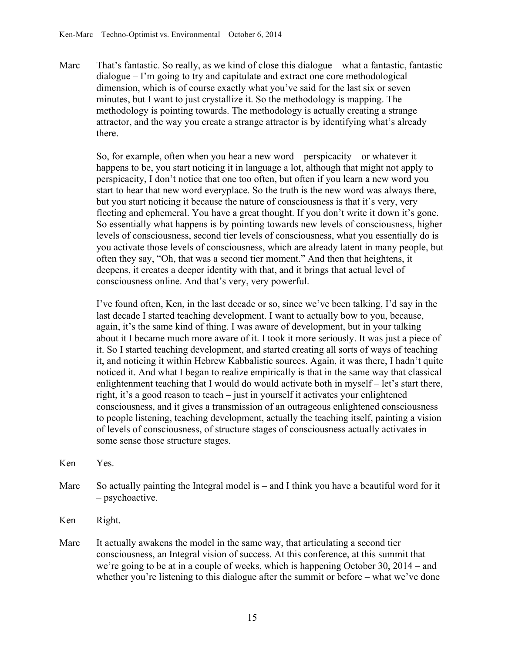Marc That's fantastic. So really, as we kind of close this dialogue – what a fantastic, fantastic dialogue – I'm going to try and capitulate and extract one core methodological dimension, which is of course exactly what you've said for the last six or seven minutes, but I want to just crystallize it. So the methodology is mapping. The methodology is pointing towards. The methodology is actually creating a strange attractor, and the way you create a strange attractor is by identifying what's already there.

So, for example, often when you hear a new word – perspicacity – or whatever it happens to be, you start noticing it in language a lot, although that might not apply to perspicacity, I don't notice that one too often, but often if you learn a new word you start to hear that new word everyplace. So the truth is the new word was always there, but you start noticing it because the nature of consciousness is that it's very, very fleeting and ephemeral. You have a great thought. If you don't write it down it's gone. So essentially what happens is by pointing towards new levels of consciousness, higher levels of consciousness, second tier levels of consciousness, what you essentially do is you activate those levels of consciousness, which are already latent in many people, but often they say, "Oh, that was a second tier moment." And then that heightens, it deepens, it creates a deeper identity with that, and it brings that actual level of consciousness online. And that's very, very powerful.

I've found often, Ken, in the last decade or so, since we've been talking, I'd say in the last decade I started teaching development. I want to actually bow to you, because, again, it's the same kind of thing. I was aware of development, but in your talking about it I became much more aware of it. I took it more seriously. It was just a piece of it. So I started teaching development, and started creating all sorts of ways of teaching it, and noticing it within Hebrew Kabbalistic sources. Again, it was there, I hadn't quite noticed it. And what I began to realize empirically is that in the same way that classical enlightenment teaching that I would do would activate both in myself – let's start there, right, it's a good reason to teach – just in yourself it activates your enlightened consciousness, and it gives a transmission of an outrageous enlightened consciousness to people listening, teaching development, actually the teaching itself, painting a vision of levels of consciousness, of structure stages of consciousness actually activates in some sense those structure stages.

- Ken Yes.
- Marc So actually painting the Integral model is  $-$  and I think you have a beautiful word for it – psychoactive.
- Ken Right.
- Marc It actually awakens the model in the same way, that articulating a second tier consciousness, an Integral vision of success. At this conference, at this summit that we're going to be at in a couple of weeks, which is happening October 30, 2014 – and whether you're listening to this dialogue after the summit or before – what we've done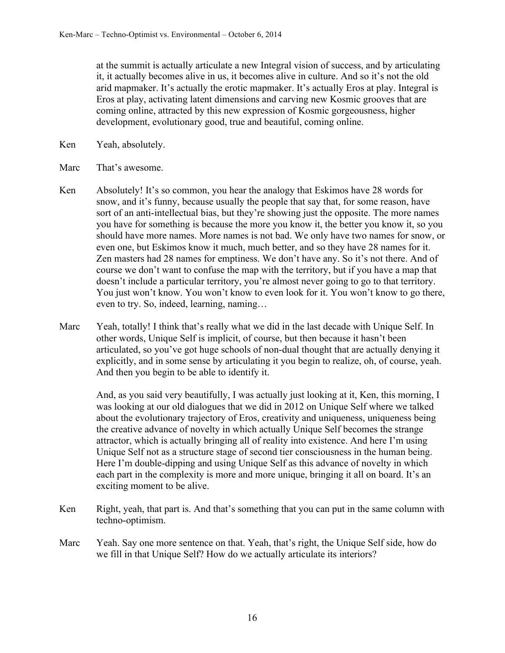at the summit is actually articulate a new Integral vision of success, and by articulating it, it actually becomes alive in us, it becomes alive in culture. And so it's not the old arid mapmaker. It's actually the erotic mapmaker. It's actually Eros at play. Integral is Eros at play, activating latent dimensions and carving new Kosmic grooves that are coming online, attracted by this new expression of Kosmic gorgeousness, higher development, evolutionary good, true and beautiful, coming online.

- Ken Yeah, absolutely.
- Marc That's awesome.
- Ken Absolutely! It's so common, you hear the analogy that Eskimos have 28 words for snow, and it's funny, because usually the people that say that, for some reason, have sort of an anti-intellectual bias, but they're showing just the opposite. The more names you have for something is because the more you know it, the better you know it, so you should have more names. More names is not bad. We only have two names for snow, or even one, but Eskimos know it much, much better, and so they have 28 names for it. Zen masters had 28 names for emptiness. We don't have any. So it's not there. And of course we don't want to confuse the map with the territory, but if you have a map that doesn't include a particular territory, you're almost never going to go to that territory. You just won't know. You won't know to even look for it. You won't know to go there, even to try. So, indeed, learning, naming…
- Marc Yeah, totally! I think that's really what we did in the last decade with Unique Self. In other words, Unique Self is implicit, of course, but then because it hasn't been articulated, so you've got huge schools of non-dual thought that are actually denying it explicitly, and in some sense by articulating it you begin to realize, oh, of course, yeah. And then you begin to be able to identify it.

And, as you said very beautifully, I was actually just looking at it, Ken, this morning, I was looking at our old dialogues that we did in 2012 on Unique Self where we talked about the evolutionary trajectory of Eros, creativity and uniqueness, uniqueness being the creative advance of novelty in which actually Unique Self becomes the strange attractor, which is actually bringing all of reality into existence. And here I'm using Unique Self not as a structure stage of second tier consciousness in the human being. Here I'm double-dipping and using Unique Self as this advance of novelty in which each part in the complexity is more and more unique, bringing it all on board. It's an exciting moment to be alive.

- Ken Right, yeah, that part is. And that's something that you can put in the same column with techno-optimism.
- Marc Yeah. Say one more sentence on that. Yeah, that's right, the Unique Self side, how do we fill in that Unique Self? How do we actually articulate its interiors?